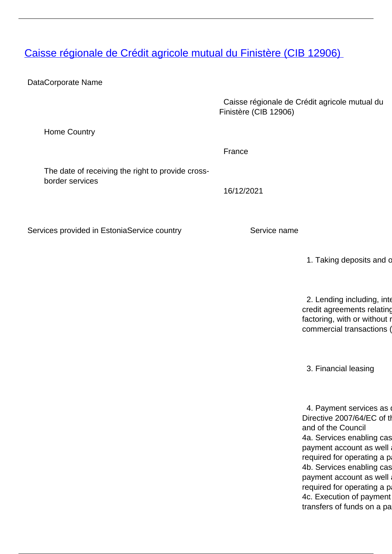<span id="page-0-0"></span>[Caisse régionale de Crédit agricole mutual du Finistère \(CIB 12906\)](/en/banking-and-credit/banking-and-credit/credit-institutions/providers-cross-border-banking-services/caisse-regionale-de-credit-agricole-mutual-du-finistere-cib-12906)

DataCorporate Name

 Caisse régionale de Crédit agricole mutual du Finistère (CIB 12906)

Home Country

The date of receiving the right to provide crossborder services

16/12/2021

France

Services provided in EstoniaService country Service name

1. Taking deposits and c

2. Lending including, inter credit agreements relating factoring, with or without r commercial transactions (

3. Financial leasing

4. Payment services as Directive 2007/64/EC of the and of the Council 4a. Services enabling cas payment account as well required for operating a p 4b. Services enabling cas payment account as well required for operating a p 4c. Execution of payment transfers of funds on a pa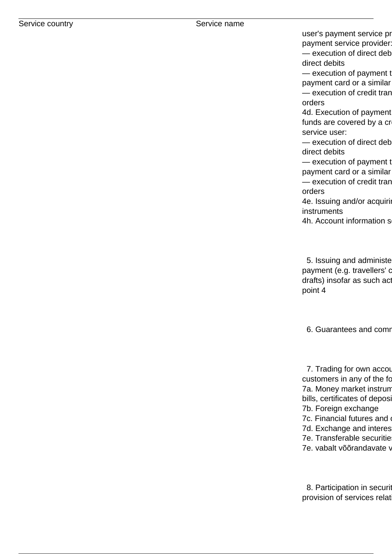user's payment service pr payment service provider:  $-$  execution of direct deb direct debits

— execution of payment t payment card or a similar — execution of credit tran orders

4d. Execution of payment funds are covered by a cr service user:

 $-$  execution of direct deb direct debits

— execution of payment t payment card or a similar — execution of credit tran orders

4e. Issuing and/or acquiring instruments

4h. Account information services

5. Issuing and administe payment (e.g. travellers' c drafts) insofar as such act point 4

6. Guarantees and comr

7. Trading for own accou customers in any of the fo 7a. Money market instrum bills, certificates of deposit 7b. Foreign exchange 7c. Financial futures and 7d. Exchange and interes 7e. Transferable securitie 7e. vabalt võõrandavate v

8. Participation in securit provision of services relat